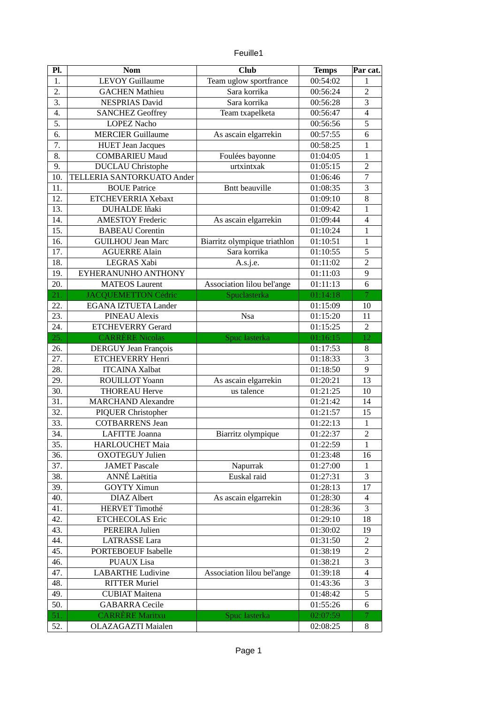|  | euille1 |
|--|---------|
|  |         |
|  |         |

| <b>LEVOY Guillaume</b><br>1.<br>Team uglow sportfrance<br>00:54:02<br>$\mathbf{1}$<br>$\overline{2}$<br>2.<br><b>GACHEN Mathieu</b><br>Sara korrika<br>00:56:24<br>3<br>3.<br>Sara korrika<br><b>NESPRIAS David</b><br>00:56:28<br>$\overline{4}$<br>4.<br><b>SANCHEZ Geoffrey</b><br>Team txapelketa<br>00:56:47<br>5<br>5.<br><b>LOPEZ Nacho</b><br>00:56:56<br>6.<br>6<br><b>MERCIER Guillaume</b><br>As ascain elgarrekin<br>00:57:55<br>7.<br><b>HUET Jean Jacques</b><br>00:58:25<br>$\mathbf{1}$<br><b>COMBARIEU Maud</b><br>Foulées bayonne<br>8.<br>01:04:05<br>$\mathbf{1}$<br>$\overline{2}$<br>9.<br><b>DUCLAU</b> Christophe<br>urtxintxak<br>01:05:15<br>$\overline{7}$<br>TELLERIA SANTORKUATO Ander<br>10.<br>01:06:46 |
|----------------------------------------------------------------------------------------------------------------------------------------------------------------------------------------------------------------------------------------------------------------------------------------------------------------------------------------------------------------------------------------------------------------------------------------------------------------------------------------------------------------------------------------------------------------------------------------------------------------------------------------------------------------------------------------------------------------------------------------|
|                                                                                                                                                                                                                                                                                                                                                                                                                                                                                                                                                                                                                                                                                                                                        |
|                                                                                                                                                                                                                                                                                                                                                                                                                                                                                                                                                                                                                                                                                                                                        |
|                                                                                                                                                                                                                                                                                                                                                                                                                                                                                                                                                                                                                                                                                                                                        |
|                                                                                                                                                                                                                                                                                                                                                                                                                                                                                                                                                                                                                                                                                                                                        |
|                                                                                                                                                                                                                                                                                                                                                                                                                                                                                                                                                                                                                                                                                                                                        |
|                                                                                                                                                                                                                                                                                                                                                                                                                                                                                                                                                                                                                                                                                                                                        |
|                                                                                                                                                                                                                                                                                                                                                                                                                                                                                                                                                                                                                                                                                                                                        |
|                                                                                                                                                                                                                                                                                                                                                                                                                                                                                                                                                                                                                                                                                                                                        |
|                                                                                                                                                                                                                                                                                                                                                                                                                                                                                                                                                                                                                                                                                                                                        |
|                                                                                                                                                                                                                                                                                                                                                                                                                                                                                                                                                                                                                                                                                                                                        |
| $\overline{3}$<br><b>BOUE Patrice</b><br><b>Bntt beauville</b><br>11.<br>01:08:35                                                                                                                                                                                                                                                                                                                                                                                                                                                                                                                                                                                                                                                      |
| 8<br>12.<br>ETCHEVERRIA Xebaxt<br>01:09:10                                                                                                                                                                                                                                                                                                                                                                                                                                                                                                                                                                                                                                                                                             |
| 13.<br><b>DUHALDE Iñaki</b><br>01:09:42<br>$\mathbf{1}$                                                                                                                                                                                                                                                                                                                                                                                                                                                                                                                                                                                                                                                                                |
| $\overline{\mathbf{4}}$<br>14.<br>As ascain elgarrekin<br><b>AMESTOY Frederic</b><br>01:09:44                                                                                                                                                                                                                                                                                                                                                                                                                                                                                                                                                                                                                                          |
| 15.<br><b>BABEAU Corentin</b><br>01:10:24<br>$\mathbf{1}$                                                                                                                                                                                                                                                                                                                                                                                                                                                                                                                                                                                                                                                                              |
| 16.<br>Biarritz olympique triathlon<br><b>GUILHOU Jean Marc</b><br>01:10:51<br>$\mathbf{1}$                                                                                                                                                                                                                                                                                                                                                                                                                                                                                                                                                                                                                                            |
| Sara korrika<br>5<br>17.<br><b>AGUERRE Alain</b><br>01:10:55                                                                                                                                                                                                                                                                                                                                                                                                                                                                                                                                                                                                                                                                           |
| $\overline{2}$<br>LEGRAS Xabi<br>18.<br>01:11:02<br>A.s.j.e.                                                                                                                                                                                                                                                                                                                                                                                                                                                                                                                                                                                                                                                                           |
| $\overline{9}$<br>19.<br>EYHERANUNHO ANTHONY<br>01:11:03                                                                                                                                                                                                                                                                                                                                                                                                                                                                                                                                                                                                                                                                               |
| $\overline{6}$<br>20.<br>Association lilou bel'ange<br><b>MATEOS Laurent</b><br>01:11:13                                                                                                                                                                                                                                                                                                                                                                                                                                                                                                                                                                                                                                               |
| Spuclasterka<br>21.<br><b>JACQUEMETTON Cédric</b><br>01:14:18<br>$\overline{7}$                                                                                                                                                                                                                                                                                                                                                                                                                                                                                                                                                                                                                                                        |
| <b>EGANA IZTUETA Lander</b><br>22.<br>01:15:09<br>10                                                                                                                                                                                                                                                                                                                                                                                                                                                                                                                                                                                                                                                                                   |
| 23.<br><b>PINEAU Alexis</b><br>01:15:20<br>11<br><b>Nsa</b>                                                                                                                                                                                                                                                                                                                                                                                                                                                                                                                                                                                                                                                                            |
| $\overline{2}$<br>24.<br><b>ETCHEVERRY Gerard</b><br>01:15:25                                                                                                                                                                                                                                                                                                                                                                                                                                                                                                                                                                                                                                                                          |
| 12<br>25.<br><b>CARRÈRE Nicolas</b><br>Spuc lasterka<br>01:16:15                                                                                                                                                                                                                                                                                                                                                                                                                                                                                                                                                                                                                                                                       |
| <b>DERGUY Jean François</b><br>8<br>26.<br>01:17:53                                                                                                                                                                                                                                                                                                                                                                                                                                                                                                                                                                                                                                                                                    |
| 27.<br><b>ETCHEVERRY Henri</b><br>3<br>01:18:33                                                                                                                                                                                                                                                                                                                                                                                                                                                                                                                                                                                                                                                                                        |
| 9<br>28.<br><b>ITCAINA Xalbat</b><br>01:18:50                                                                                                                                                                                                                                                                                                                                                                                                                                                                                                                                                                                                                                                                                          |
| 29.<br>ROUILLOT Yoann<br>As ascain elgarrekin<br>13<br>01:20:21                                                                                                                                                                                                                                                                                                                                                                                                                                                                                                                                                                                                                                                                        |
| 30.<br><b>THOREAU Herve</b><br>us talence<br>01:21:25<br>10                                                                                                                                                                                                                                                                                                                                                                                                                                                                                                                                                                                                                                                                            |
| 31.<br><b>MARCHAND Alexandre</b><br>01:21:42<br>14                                                                                                                                                                                                                                                                                                                                                                                                                                                                                                                                                                                                                                                                                     |
| 32.<br>PIQUER Christopher<br>15<br>01:21:57                                                                                                                                                                                                                                                                                                                                                                                                                                                                                                                                                                                                                                                                                            |
| 33.<br><b>COTBARRENS Jean</b><br>01:22:13<br>$\mathbf{1}$                                                                                                                                                                                                                                                                                                                                                                                                                                                                                                                                                                                                                                                                              |
| $\overline{2}$<br>34.<br><b>LAFITTE Joanna</b><br>Biarritz olympique<br>01:22:37                                                                                                                                                                                                                                                                                                                                                                                                                                                                                                                                                                                                                                                       |
| 35.<br><b>HARLOUCHET Maia</b><br>01:22:59<br>$\mathbf{1}$                                                                                                                                                                                                                                                                                                                                                                                                                                                                                                                                                                                                                                                                              |
| 36.<br><b>OXOTEGUY Julien</b><br>01:23:48<br>16                                                                                                                                                                                                                                                                                                                                                                                                                                                                                                                                                                                                                                                                                        |
| 37.<br><b>JAMET Pascale</b><br>Napurrak<br>01:27:00<br>1                                                                                                                                                                                                                                                                                                                                                                                                                                                                                                                                                                                                                                                                               |
| ANNÉ Laëtitia<br>Euskal raid<br>3<br>38.<br>01:27:31                                                                                                                                                                                                                                                                                                                                                                                                                                                                                                                                                                                                                                                                                   |
| 39.<br><b>GOYTY Ximun</b><br>01:28:13<br>17                                                                                                                                                                                                                                                                                                                                                                                                                                                                                                                                                                                                                                                                                            |
| <b>DIAZ</b> Albert<br>40.<br>As ascain elgarrekin<br>01:28:30<br>$\overline{4}$                                                                                                                                                                                                                                                                                                                                                                                                                                                                                                                                                                                                                                                        |
| 3<br><b>HERVET Timothé</b><br>41.<br>01:28:36                                                                                                                                                                                                                                                                                                                                                                                                                                                                                                                                                                                                                                                                                          |
| 42.<br><b>ETCHECOLAS Eric</b><br>01:29:10<br>18                                                                                                                                                                                                                                                                                                                                                                                                                                                                                                                                                                                                                                                                                        |
| 43.<br>PEREIRA Julien<br>01:30:02<br>19                                                                                                                                                                                                                                                                                                                                                                                                                                                                                                                                                                                                                                                                                                |
| 44.<br><b>LATRASSE</b> Lara<br>01:31:50<br>2                                                                                                                                                                                                                                                                                                                                                                                                                                                                                                                                                                                                                                                                                           |
| 45.<br>PORTEBOEUF Isabelle<br>01:38:19<br>2                                                                                                                                                                                                                                                                                                                                                                                                                                                                                                                                                                                                                                                                                            |
| 46.<br><b>PUAUX</b> Lisa<br>01:38:21<br>3                                                                                                                                                                                                                                                                                                                                                                                                                                                                                                                                                                                                                                                                                              |
| 47.<br><b>LABARTHE Ludivine</b><br>Association lilou bel'ange<br>01:39:18<br>$\overline{4}$                                                                                                                                                                                                                                                                                                                                                                                                                                                                                                                                                                                                                                            |
| 3<br>48.<br><b>RITTER Muriel</b><br>01:43:36                                                                                                                                                                                                                                                                                                                                                                                                                                                                                                                                                                                                                                                                                           |
| 5<br>49.<br><b>CUBIAT Maitena</b><br>01:48:42                                                                                                                                                                                                                                                                                                                                                                                                                                                                                                                                                                                                                                                                                          |
| 6<br>50.<br><b>GABARRA Cecile</b><br>01:55:26                                                                                                                                                                                                                                                                                                                                                                                                                                                                                                                                                                                                                                                                                          |
| 51.<br><b>CARRÈRE Maritxu</b><br>02:07:59<br>Spuc lasterka<br>7                                                                                                                                                                                                                                                                                                                                                                                                                                                                                                                                                                                                                                                                        |
| 52.<br>OLAZAGAZTI Maialen<br>02:08:25<br>8                                                                                                                                                                                                                                                                                                                                                                                                                                                                                                                                                                                                                                                                                             |